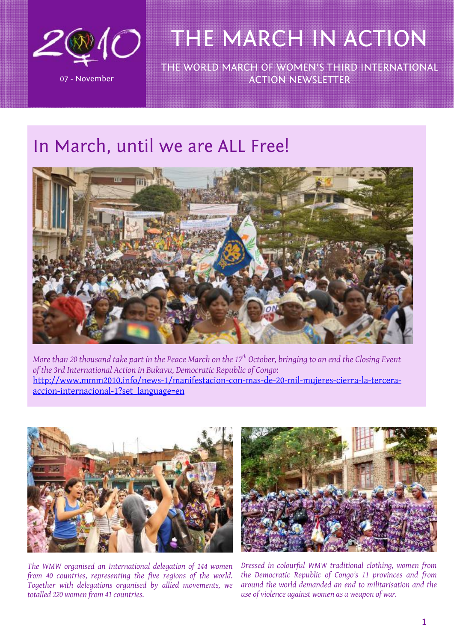

THE WORLD MARCH OF WOMEN'S THIRD INTERNATIONAL ACTION NEWSLETTER

### In March, until we are ALL Free!



*More than 20 thousand take part in the Peace March on the 17<sup>th</sup> October, bringing to an end the Closing Event of the 3rd International Action in Bukavu, Democratic Republic of Congo*: [http://www.mmm2010.info/news-1/manifestacion-con-mas-de-20-mil-mujeres-cierra-la-tercera](http://www.mmm2010.info/news-1/manifestacion-con-mas-de-20-mil-mujeres-cierra-la-tercera-accion-internacional-1?set_language=en)[accion-internacional-1?set\\_language=en](http://www.mmm2010.info/news-1/manifestacion-con-mas-de-20-mil-mujeres-cierra-la-tercera-accion-internacional-1?set_language=en)



*The WMW organised an International delegation of 144 women from 40 countries, representing the five regions of the world. Together with delegations organised by allied movements, we totalled 220 women from 41 countries.*



*Dressed in colourful WMW traditional clothing, women from the Democratic Republic of Congo's 11 provinces and from around the world demanded an end to militarisation and the use of violence against women as a weapon of war.*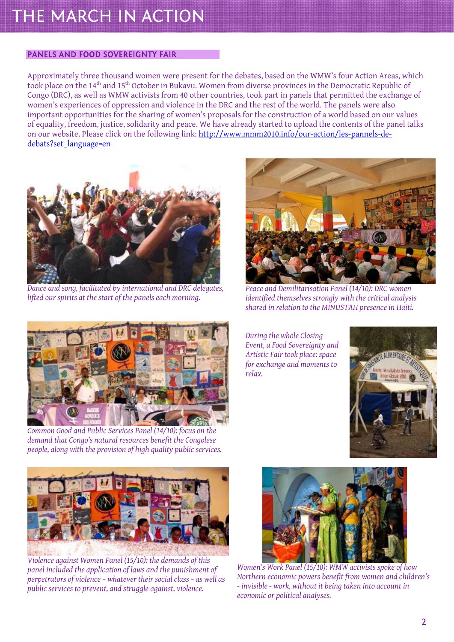#### PANELS AND FOOD SOVEREIGNTY FAIR

Approximately three thousand women were present for the debates, based on the WMW's four Action Areas, which took place on the 14th and 15th October in Bukavu. Women from diverse provinces in the Democratic Republic of Congo (DRC), as well as WMW activists from 40 other countries, took part in panels that permitted the exchange of women's experiences of oppression and violence in the DRC and the rest of the world. The panels were also important opportunities for the sharing of women's proposals for the construction of a world based on our values of equality, freedom, justice, solidarity and peace. We have already started to upload the contents of the panel talks on our website. Please click on the following link: [http://www.mmm2010.info/our-action/les-pannels-de](http://www.mmm2010.info/our-action/les-pannels-de-debats?set_language=en)[debats?set\\_language=en](http://www.mmm2010.info/our-action/les-pannels-de-debats?set_language=en)



*Dance and song, facilitated by international and DRC delegates, lifted our spirits at the start of the panels each morning.* 



*Common Good and Public Services Panel (14/10): focus on the demand that Congo's natural resources benefit the Congolese people, along with the provision of high quality public services.* 



*Peace and Demilitarisation Panel (14/10): DRC women identified themselves strongly with the critical analysis shared in relation to the MINUSTAH presence in Haiti.* 

*During the whole Closing Event, a Food Sovereignty and Artistic Fair took place: space for exchange and moments to relax.* 





*Violence against Women Panel (15/10): the demands of this panel included the application of laws and the punishment of perpetrators of violence – whatever their social class – as well as public services to prevent, and struggle against, violence.* 



*Women's Work Panel (15/10): WMW activists spoke of how Northern economic powers benefit from women and children's - invisible - work, without it being taken into account in economic or political analyses.*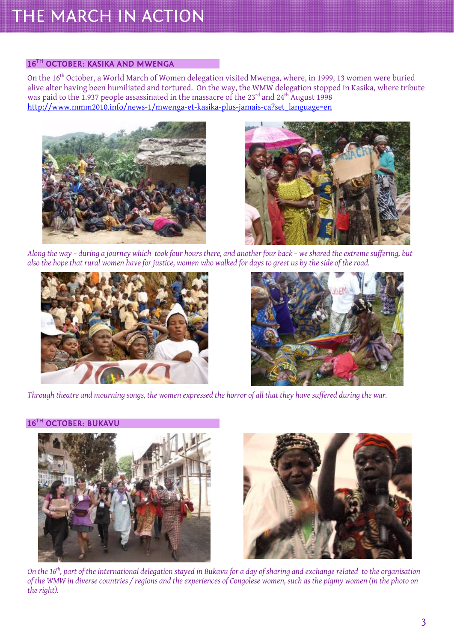#### 16TH OCTOBER: KASIKA AND MWENGA

On the 16<sup>th</sup> October, a World March of Women delegation visited Mwenga, where, in 1999, 13 women were buried alive alter having been humiliated and tortured. On the way, the WMW delegation stopped in Kasika, where tribute was paid to the 1.937 people assassinated in the massacre of the 23<sup>rd</sup> and 24<sup>th</sup> August 1998 [http://www.mmm2010.info/news-1/mwenga-et-kasika-plus-jamais-ca?set\\_language=en](http://www.mmm2010.info/news-1/mwenga-et-kasika-plus-jamais-ca?set_language=en)





*Along the way – during a journey which took four hours there, and another four back – we shared the extreme suffering, but also the hope that rural women have for justice, women who walked for days to greet us by the side of the road.* 





*Through theatre and mourning songs, the women expressed the horror of all that they have suffered during the war.* 

#### 16TH OCTOBER: BUKAVU





*On the 16th, part of the international delegation stayed in Bukavu for a day of sharing and exchange related to the organisation of the WMW in diverse countries / regions and the experiences of Congolese women, such as the pigmy women (in the photo on the right).*